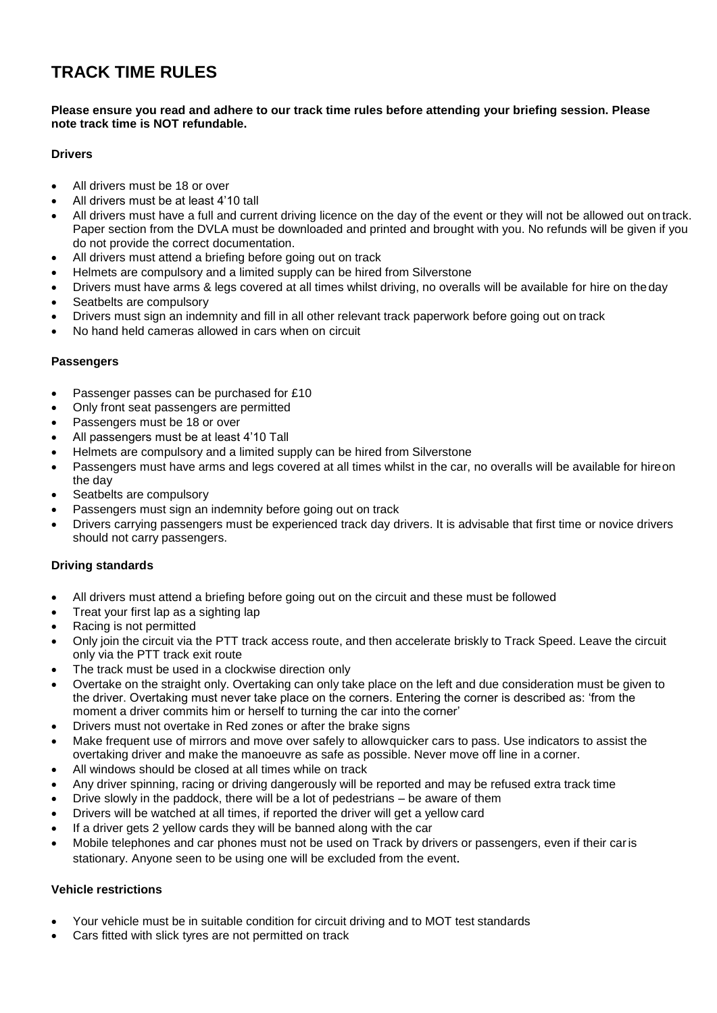# **TRACK TIME RULES**

#### **Please ensure you read and adhere to our track time rules before attending your briefing session. Please note track time is NOT refundable.**

## **Drivers**

- All drivers must be 18 or over
- All drivers must be at least 4'10 tall
- All drivers must have a full and current driving licence on the day of the event or they will not be allowed out on track. Paper section from the DVLA must be downloaded and printed and brought with you. No refunds will be given if you do not provide the correct documentation.
- All drivers must attend a briefing before going out on track
- Helmets are compulsory and a limited supply can be hired from Silverstone
- Drivers must have arms & legs covered at all times whilst driving, no overalls will be available for hire on theday
- Seatbelts are compulsory
- Drivers must sign an indemnity and fill in all other relevant track paperwork before going out on track
- No hand held cameras allowed in cars when on circuit

## **Passengers**

- Passenger passes can be purchased for £10
- Only front seat passengers are permitted
- Passengers must be 18 or over
- All passengers must be at least 4'10 Tall
- Helmets are compulsory and a limited supply can be hired from Silverstone
- Passengers must have arms and legs covered at all times whilst in the car, no overalls will be available for hireon the day
- Seatbelts are compulsory
- Passengers must sign an indemnity before going out on track
- Drivers carrying passengers must be experienced track day drivers. It is advisable that first time or novice drivers should not carry passengers.

## **Driving standards**

- All drivers must attend a briefing before going out on the circuit and these must be followed
- Treat your first lap as a sighting lap
- Racing is not permitted
- Only join the circuit via the PTT track access route, and then accelerate briskly to Track Speed. Leave the circuit only via the PTT track exit route
- The track must be used in a clockwise direction only
- Overtake on the straight only. Overtaking can only take place on the left and due consideration must be given to the driver. Overtaking must never take place on the corners. Entering the corner is described as: 'from the moment a driver commits him or herself to turning the car into the corner'
- Drivers must not overtake in Red zones or after the brake signs
- Make frequent use of mirrors and move over safely to allowquicker cars to pass. Use indicators to assist the overtaking driver and make the manoeuvre as safe as possible. Never move off line in a corner.
- All windows should be closed at all times while on track
- Any driver spinning, racing or driving dangerously will be reported and may be refused extra track time
- Drive slowly in the paddock, there will be a lot of pedestrians be aware of them
- Drivers will be watched at all times, if reported the driver will get a yellow card
- If a driver gets 2 yellow cards they will be banned along with the car
- Mobile telephones and car phones must not be used on Track by drivers or passengers, even if their caris stationary. Anyone seen to be using one will be excluded from the event.

## **Vehicle restrictions**

- Your vehicle must be in suitable condition for circuit driving and to MOT test standards
- Cars fitted with slick tyres are not permitted on track